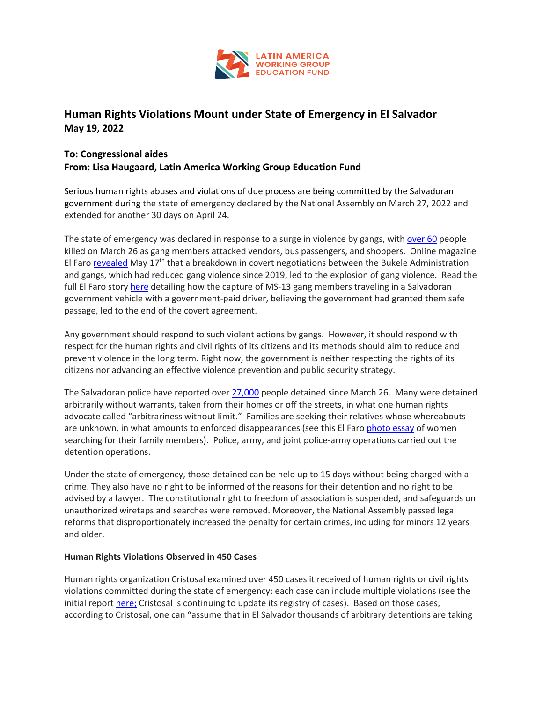

# **Human Rights Violations Mount under State of Emergency in El Salvador May 19, 2022**

## **To: Congressional aides From: Lisa Haugaard, Latin America Working Group Education Fund**

Serious human rights abuses and violations of due process are being committed by the Salvadoran government during the state of emergency declared by the National Assembly on March 27, 2022 and extended for another 30 days on April 24.

The state of emergency was declared in response to a surge in violence by gangs, with over 60 people killed on March 26 as gang members attacked vendors, bus passengers, and shoppers. Online magazine El Faro revealed May 17<sup>th</sup> that a breakdown in covert negotiations between the Bukele Administration and gangs, which had reduced gang violence since 2019, led to the explosion of gang violence. Read the full El Faro story here detailing how the capture of MS-13 gang members traveling in a Salvadoran government vehicle with a government-paid driver, believing the government had granted them safe passage, led to the end of the covert agreement.

Any government should respond to such violent actions by gangs. However, it should respond with respect for the human rights and civil rights of its citizens and its methods should aim to reduce and prevent violence in the long term. Right now, the government is neither respecting the rights of its citizens nor advancing an effective violence prevention and public security strategy.

The Salvadoran police have reported over 27,000 people detained since March 26. Many were detained arbitrarily without warrants, taken from their homes or off the streets, in what one human rights advocate called "arbitrariness without limit." Families are seeking their relatives whose whereabouts are unknown, in what amounts to enforced disappearances (see this El Faro photo essay of women searching for their family members). Police, army, and joint police-army operations carried out the detention operations.

Under the state of emergency, those detained can be held up to 15 days without being charged with a crime. They also have no right to be informed of the reasons for their detention and no right to be advised by a lawyer. The constitutional right to freedom of association is suspended, and safeguards on unauthorized wiretaps and searches were removed. Moreover, the National Assembly passed legal reforms that disproportionately increased the penalty for certain crimes, including for minors 12 years and older.

### **Human Rights Violations Observed in 450 Cases**

Human rights organization Cristosal examined over 450 cases it received of human rights or civil rights violations committed during the state of emergency; each case can include multiple violations (see the initial report here; Cristosal is continuing to update its registry of cases). Based on those cases, according to Cristosal, one can "assume that in El Salvador thousands of arbitrary detentions are taking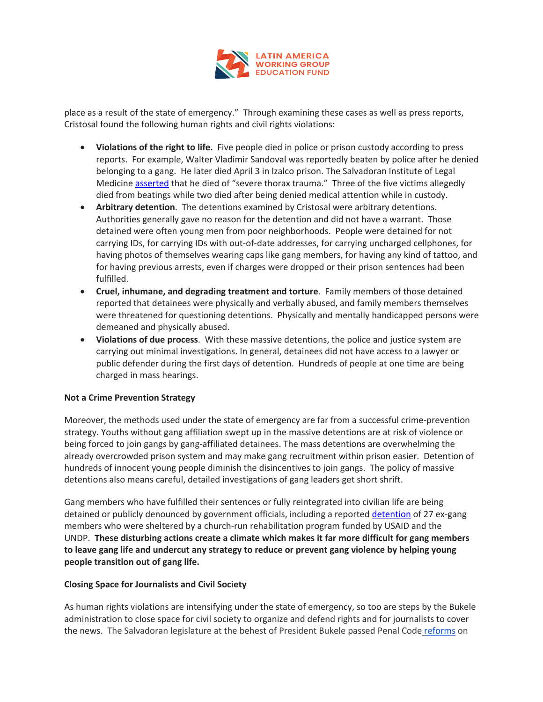

place as a result of the state of emergency." Through examining these cases as well as press reports, Cristosal found the following human rights and civil rights violations:

- **Violations of the right to life.** Five people died in police or prison custody according to press reports. For example, Walter Vladimir Sandoval was reportedly beaten by police after he denied belonging to a gang. He later died April 3 in Izalco prison. The Salvadoran Institute of Legal Medicine asserted that he died of "severe thorax trauma." Three of the five victims allegedly died from beatings while two died after being denied medical attention while in custody.
- **Arbitrary detention**. The detentions examined by Cristosal were arbitrary detentions. Authorities generally gave no reason for the detention and did not have a warrant. Those detained were often young men from poor neighborhoods. People were detained for not carrying IDs, for carrying IDs with out-of-date addresses, for carrying uncharged cellphones, for having photos of themselves wearing caps like gang members, for having any kind of tattoo, and for having previous arrests, even if charges were dropped or their prison sentences had been fulfilled.
- **Cruel, inhumane, and degrading treatment and torture**. Family members of those detained reported that detainees were physically and verbally abused, and family members themselves were threatened for questioning detentions. Physically and mentally handicapped persons were demeaned and physically abused.
- **Violations of due process**. With these massive detentions, the police and justice system are carrying out minimal investigations. In general, detainees did not have access to a lawyer or public defender during the first days of detention. Hundreds of people at one time are being charged in mass hearings.

### **Not a Crime Prevention Strategy**

Moreover, the methods used under the state of emergency are far from a successful crime-prevention strategy. Youths without gang affiliation swept up in the massive detentions are at risk of violence or being forced to join gangs by gang-affiliated detainees. The mass detentions are overwhelming the already overcrowded prison system and may make gang recruitment within prison easier. Detention of hundreds of innocent young people diminish the disincentives to join gangs. The policy of massive detentions also means careful, detailed investigations of gang leaders get short shrift.

Gang members who have fulfilled their sentences or fully reintegrated into civilian life are being detained or publicly denounced by government officials, including a reported detention of 27 ex-gang members who were sheltered by a church-run rehabilitation program funded by USAID and the UNDP. **These disturbing actions create a climate which makes it far more difficult for gang members to leave gang life and undercut any strategy to reduce or prevent gang violence by helping young people transition out of gang life.**

#### **Closing Space for Journalists and Civil Society**

As human rights violations are intensifying under the state of emergency, so too are steps by the Bukele administration to close space for civil society to organize and defend rights and for journalists to cover the news. The Salvadoran legislature at the behest of President Bukele passed Penal Code reforms on